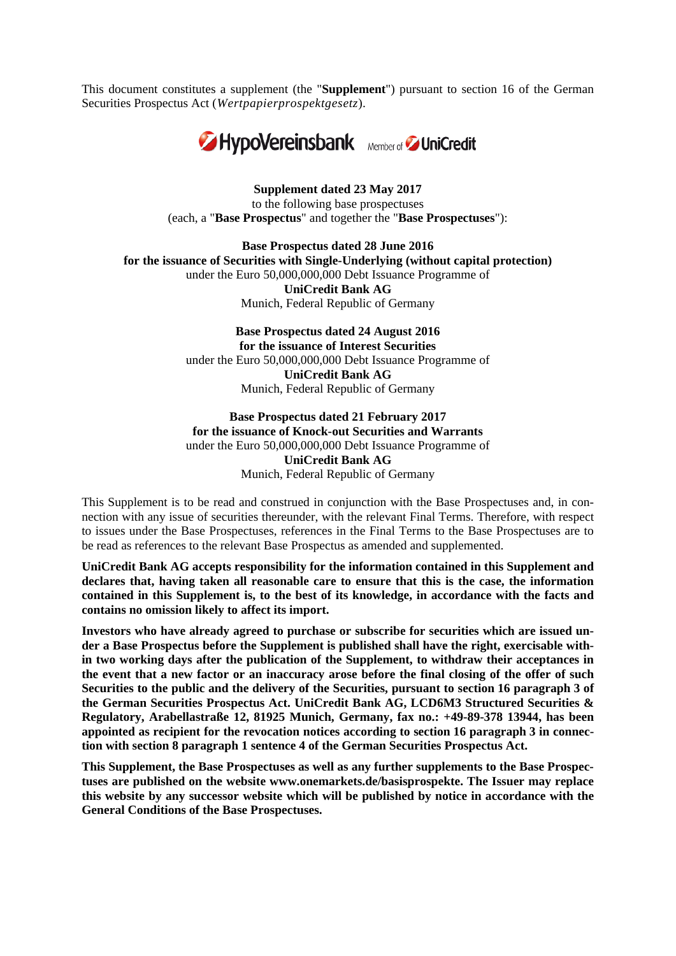This document constitutes a supplement (the "**Supplement**") pursuant to section 16 of the German Securities Prospectus Act (*Wertpapierprospektgesetz*)*.* 



**Supplement dated 23 May 2017**  to the following base prospectuses (each, a "**Base Prospectus**" and together the "**Base Prospectuses**"):

**Base Prospectus dated 28 June 2016 for the issuance of Securities with Single-Underlying (without capital protection)** under the Euro 50,000,000,000 Debt Issuance Programme of **UniCredit Bank AG** Munich, Federal Republic of Germany

> **Base Prospectus dated 24 August 2016 for the issuance of Interest Securities** under the Euro 50,000,000,000 Debt Issuance Programme of **UniCredit Bank AG** Munich, Federal Republic of Germany

#### **Base Prospectus dated 21 February 2017 for the issuance of Knock-out Securities and Warrants** under the Euro 50,000,000,000 Debt Issuance Programme of **UniCredit Bank AG** Munich, Federal Republic of Germany

This Supplement is to be read and construed in conjunction with the Base Prospectuses and, in connection with any issue of securities thereunder, with the relevant Final Terms. Therefore, with respect to issues under the Base Prospectuses, references in the Final Terms to the Base Prospectuses are to be read as references to the relevant Base Prospectus as amended and supplemented.

**UniCredit Bank AG accepts responsibility for the information contained in this Supplement and declares that, having taken all reasonable care to ensure that this is the case, the information contained in this Supplement is, to the best of its knowledge, in accordance with the facts and contains no omission likely to affect its import.** 

**Investors who have already agreed to purchase or subscribe for securities which are issued under a Base Prospectus before the Supplement is published shall have the right, exercisable within two working days after the publication of the Supplement, to withdraw their acceptances in the event that a new factor or an inaccuracy arose before the final closing of the offer of such Securities to the public and the delivery of the Securities, pursuant to section 16 paragraph 3 of the German Securities Prospectus Act. UniCredit Bank AG, LCD6M3 Structured Securities & Regulatory, Arabellastraße 12, 81925 Munich, Germany, fax no.: +49-89-378 13944, has been appointed as recipient for the revocation notices according to section 16 paragraph 3 in connection with section 8 paragraph 1 sentence 4 of the German Securities Prospectus Act.** 

**This Supplement, the Base Prospectuses as well as any further supplements to the Base Prospectuses are published on the website www.onemarkets.de/basisprospekte. The Issuer may replace this website by any successor website which will be published by notice in accordance with the General Conditions of the Base Prospectuses.**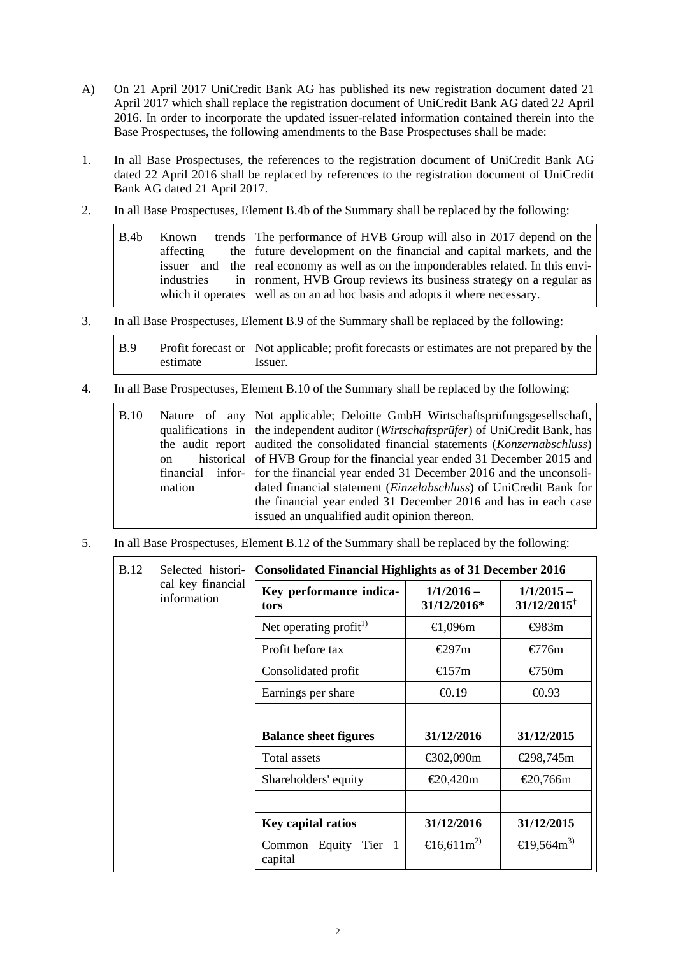- A) On 21 April 2017 UniCredit Bank AG has published its new registration document dated 21 April 2017 which shall replace the registration document of UniCredit Bank AG dated 22 April 2016. In order to incorporate the updated issuer-related information contained therein into the Base Prospectuses, the following amendments to the Base Prospectuses shall be made:
- 1. In all Base Prospectuses, the references to the registration document of UniCredit Bank AG dated 22 April 2016 shall be replaced by references to the registration document of UniCredit Bank AG dated 21 April 2017.
- 2. In all Base Prospectuses, Element B.4b of the Summary shall be replaced by the following:

| B.4b | Known      | trends The performance of HVB Group will also in 2017 depend on the                |
|------|------------|------------------------------------------------------------------------------------|
|      | affecting  | the future development on the financial and capital markets, and the               |
|      |            | issuer and the real economy as well as on the imponderables related. In this envi- |
|      | industries | in   ronment, HVB Group reviews its business strategy on a regular as              |
|      |            | which it operates well as on an ad hoc basis and adopts it where necessary.        |
|      |            |                                                                                    |

3. In all Base Prospectuses, Element B.9 of the Summary shall be replaced by the following:

| B.9 |          | Profit forecast or   Not applicable; profit forecasts or estimates are not prepared by the |
|-----|----------|--------------------------------------------------------------------------------------------|
|     | estimate | Issuer.                                                                                    |

4. In all Base Prospectuses, Element B.10 of the Summary shall be replaced by the following:

| <b>B.10</b><br>on<br>mation |  |  | Nature of any Not applicable; Deloitte GmbH Wirtschaftsprüfungsgesellschaft,<br>qualifications in $\vert$ the independent auditor ( <i>Wirtschaftsprüfer</i> ) of UniCredit Bank, has<br>the audit report audited the consolidated financial statements ( <i>Konzernabschluss</i> )<br>historical of HVB Group for the financial year ended 31 December 2015 and<br>financial infor- for the financial year ended 31 December 2016 and the unconsoli-<br>dated financial statement ( <i>Einzelabschluss</i> ) of UniCredit Bank for<br>the financial year ended 31 December 2016 and has in each case<br>issued an unqualified audit opinion thereon. |
|-----------------------------|--|--|-------------------------------------------------------------------------------------------------------------------------------------------------------------------------------------------------------------------------------------------------------------------------------------------------------------------------------------------------------------------------------------------------------------------------------------------------------------------------------------------------------------------------------------------------------------------------------------------------------------------------------------------------------|
|-----------------------------|--|--|-------------------------------------------------------------------------------------------------------------------------------------------------------------------------------------------------------------------------------------------------------------------------------------------------------------------------------------------------------------------------------------------------------------------------------------------------------------------------------------------------------------------------------------------------------------------------------------------------------------------------------------------------------|

5. In all Base Prospectuses, Element B.12 of the Summary shall be replaced by the following:

| <b>B.12</b> | Selected histori-<br>cal key financial<br>information | <b>Consolidated Financial Highlights as of 31 December 2016</b> |                                 |                                           |
|-------------|-------------------------------------------------------|-----------------------------------------------------------------|---------------------------------|-------------------------------------------|
|             |                                                       | Key performance indica-<br>tors                                 | $1/1/2016 -$<br>31/12/2016*     | $1/1/2015 -$<br>$31/12/2015$ <sup>†</sup> |
|             |                                                       | Net operating profit $^{1)}$                                    | €1,096m                         | $\bigoplus$ 83m                           |
|             |                                                       | Profit before tax                                               | €297m                           | €776m                                     |
|             |                                                       | Consolidated profit                                             | €157m                           | €750m                                     |
|             |                                                       | Earnings per share                                              | $\bigoplus$ , 19                | $\bigoplus .93$                           |
|             |                                                       |                                                                 |                                 |                                           |
|             |                                                       | <b>Balance sheet figures</b>                                    | 31/12/2016                      | 31/12/2015                                |
|             |                                                       | Total assets                                                    | € $02,090$ m                    | €298,745m                                 |
|             |                                                       | Shareholders' equity                                            | €20,420m                        | €20,766m                                  |
|             |                                                       |                                                                 |                                 |                                           |
|             |                                                       | <b>Key capital ratios</b>                                       | 31/12/2016                      | 31/12/2015                                |
|             |                                                       | Common Equity<br>Tier 1<br>capital                              | $\text{E}$ 6,611m <sup>2)</sup> | $\text{E}9,564\text{m}^3$                 |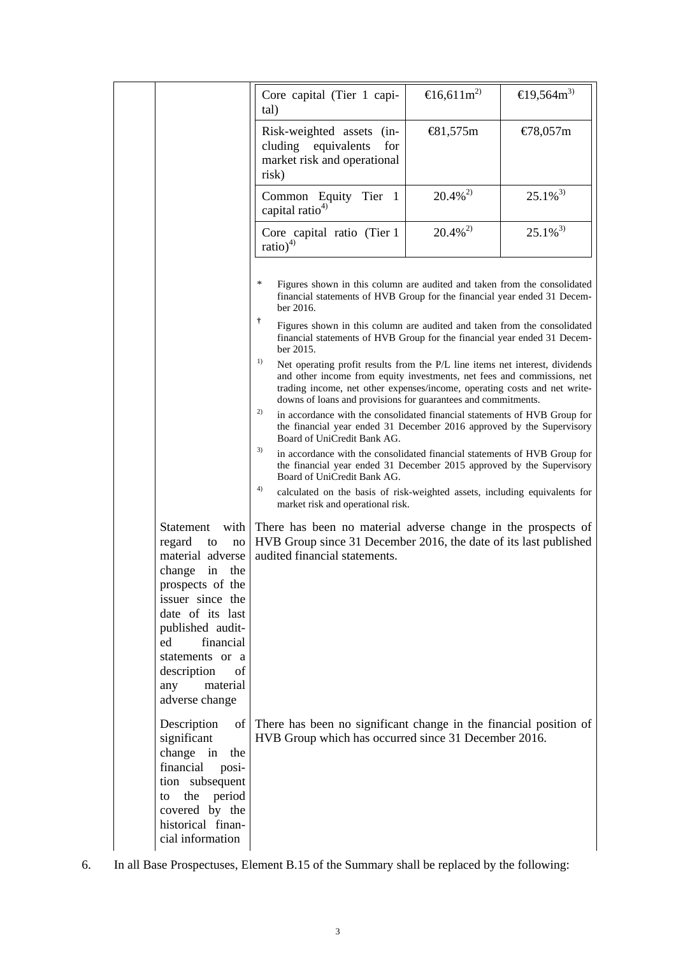|                                                                         | Core capital (Tier 1 capi-<br>tal)                                                                                                                                                                                                                                                                          | $\text{E}$ 16,611m <sup>2)</sup> | €19,564 $m$ <sup>3)</sup> |
|-------------------------------------------------------------------------|-------------------------------------------------------------------------------------------------------------------------------------------------------------------------------------------------------------------------------------------------------------------------------------------------------------|----------------------------------|---------------------------|
|                                                                         | Risk-weighted assets<br>$(in-$<br>cluding equivalents<br>for<br>market risk and operational<br>risk)                                                                                                                                                                                                        | €81,575m                         | €78,057m                  |
|                                                                         | Common Equity Tier 1<br>capital ratio <sup>4)</sup>                                                                                                                                                                                                                                                         | $20.4\%^{2}$                     | $25.1\%$ <sup>3)</sup>    |
|                                                                         | Core capital ratio (Tier 1<br>ratio) <sup>4)</sup>                                                                                                                                                                                                                                                          | $20.4\%^{2}$                     | $25.1\%^{3}$              |
|                                                                         | ∗<br>Figures shown in this column are audited and taken from the consolidated<br>financial statements of HVB Group for the financial year ended 31 Decem-<br>ber 2016.                                                                                                                                      |                                  |                           |
|                                                                         | Ť<br>Figures shown in this column are audited and taken from the consolidated<br>financial statements of HVB Group for the financial year ended 31 Decem-<br>ber 2015.                                                                                                                                      |                                  |                           |
|                                                                         | 1)<br>Net operating profit results from the P/L line items net interest, dividends<br>and other income from equity investments, net fees and commissions, net<br>trading income, net other expenses/income, operating costs and net write-<br>downs of loans and provisions for guarantees and commitments. |                                  |                           |
|                                                                         | 2)<br>in accordance with the consolidated financial statements of HVB Group for<br>the financial year ended 31 December 2016 approved by the Supervisory<br>Board of UniCredit Bank AG.                                                                                                                     |                                  |                           |
|                                                                         | 3)<br>in accordance with the consolidated financial statements of HVB Group for<br>the financial year ended 31 December 2015 approved by the Supervisory<br>Board of UniCredit Bank AG.                                                                                                                     |                                  |                           |
|                                                                         | 4)<br>calculated on the basis of risk-weighted assets, including equivalents for<br>market risk and operational risk.                                                                                                                                                                                       |                                  |                           |
| <b>Statement</b><br>with<br>regard<br>to<br>no<br>material adverse      | There has been no material adverse change in the prospects of<br>HVB Group since 31 December 2016, the date of its last published<br>audited financial statements.                                                                                                                                          |                                  |                           |
| change<br>in<br>the<br>prospects of the<br>issuer since the             |                                                                                                                                                                                                                                                                                                             |                                  |                           |
| date of its last<br>published audit-                                    |                                                                                                                                                                                                                                                                                                             |                                  |                           |
| financial<br>ed<br>statements or a<br>description<br>of                 |                                                                                                                                                                                                                                                                                                             |                                  |                           |
| material<br>any<br>adverse change                                       |                                                                                                                                                                                                                                                                                                             |                                  |                           |
| Description<br>of<br>significant<br>change in<br>the<br>financial posi- | There has been no significant change in the financial position of<br>HVB Group which has occurred since 31 December 2016.                                                                                                                                                                                   |                                  |                           |
| tion subsequent<br>the period<br>to<br>covered by the                   |                                                                                                                                                                                                                                                                                                             |                                  |                           |
| historical finan-<br>cial information                                   |                                                                                                                                                                                                                                                                                                             |                                  |                           |

6. In all Base Prospectuses, Element B.15 of the Summary shall be replaced by the following: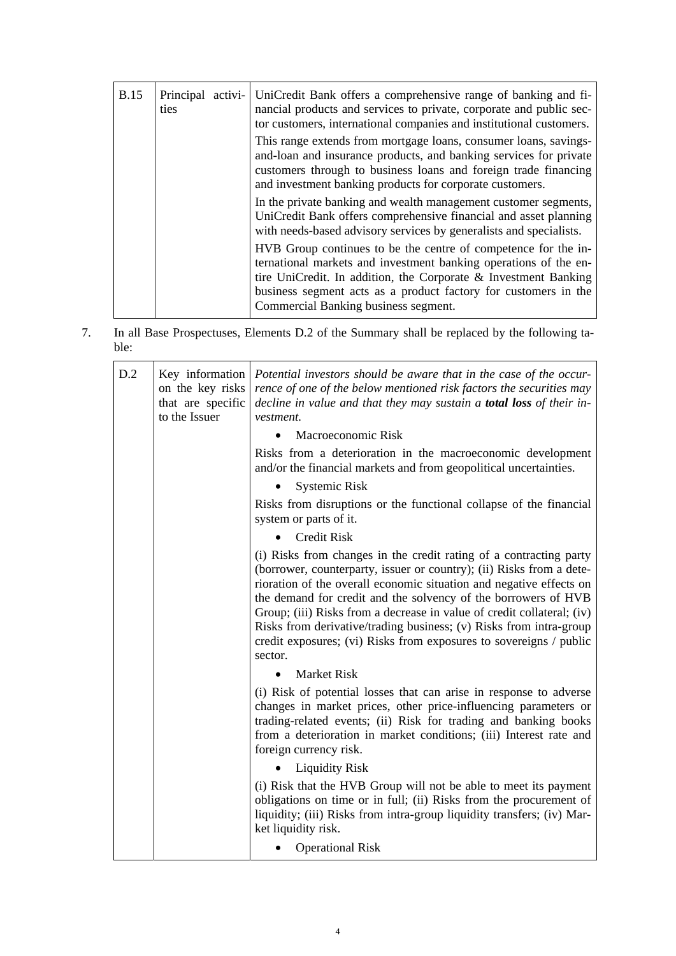| <b>B.15</b> | Principal activi-<br>ties | UniCredit Bank offers a comprehensive range of banking and fi-<br>nancial products and services to private, corporate and public sec-<br>tor customers, international companies and institutional customers.                                                                                                        |
|-------------|---------------------------|---------------------------------------------------------------------------------------------------------------------------------------------------------------------------------------------------------------------------------------------------------------------------------------------------------------------|
|             |                           | This range extends from mortgage loans, consumer loans, savings-<br>and-loan and insurance products, and banking services for private<br>customers through to business loans and foreign trade financing<br>and investment banking products for corporate customers.                                                |
|             |                           | In the private banking and wealth management customer segments,<br>UniCredit Bank offers comprehensive financial and asset planning<br>with needs-based advisory services by generalists and specialists.                                                                                                           |
|             |                           | HVB Group continues to be the centre of competence for the in-<br>ternational markets and investment banking operations of the en-<br>tire UniCredit. In addition, the Corporate $\&$ Investment Banking<br>business segment acts as a product factory for customers in the<br>Commercial Banking business segment. |

7. In all Base Prospectuses, Elements D.2 of the Summary shall be replaced by the following table:

| D.2 | Key information<br>on the key risks<br>that are specific<br>to the Issuer | Potential investors should be aware that in the case of the occur-<br>rence of one of the below mentioned risk factors the securities may<br>decline in value and that they may sustain a <b>total loss</b> of their in-<br>vestment.                                                                                                                                                                                                                                                                                |
|-----|---------------------------------------------------------------------------|----------------------------------------------------------------------------------------------------------------------------------------------------------------------------------------------------------------------------------------------------------------------------------------------------------------------------------------------------------------------------------------------------------------------------------------------------------------------------------------------------------------------|
|     |                                                                           | Macroeconomic Risk                                                                                                                                                                                                                                                                                                                                                                                                                                                                                                   |
|     |                                                                           | Risks from a deterioration in the macroeconomic development<br>and/or the financial markets and from geopolitical uncertainties.                                                                                                                                                                                                                                                                                                                                                                                     |
|     |                                                                           | <b>Systemic Risk</b>                                                                                                                                                                                                                                                                                                                                                                                                                                                                                                 |
|     |                                                                           | Risks from disruptions or the functional collapse of the financial<br>system or parts of it.                                                                                                                                                                                                                                                                                                                                                                                                                         |
|     |                                                                           | <b>Credit Risk</b>                                                                                                                                                                                                                                                                                                                                                                                                                                                                                                   |
|     |                                                                           | (i) Risks from changes in the credit rating of a contracting party<br>(borrower, counterparty, issuer or country); (ii) Risks from a dete-<br>rioration of the overall economic situation and negative effects on<br>the demand for credit and the solvency of the borrowers of HVB<br>Group; (iii) Risks from a decrease in value of credit collateral; (iv)<br>Risks from derivative/trading business; (v) Risks from intra-group<br>credit exposures; (vi) Risks from exposures to sovereigns / public<br>sector. |
|     |                                                                           | <b>Market Risk</b>                                                                                                                                                                                                                                                                                                                                                                                                                                                                                                   |
|     |                                                                           | (i) Risk of potential losses that can arise in response to adverse<br>changes in market prices, other price-influencing parameters or<br>trading-related events; (ii) Risk for trading and banking books<br>from a deterioration in market conditions; (iii) Interest rate and<br>foreign currency risk.                                                                                                                                                                                                             |
|     |                                                                           | <b>Liquidity Risk</b>                                                                                                                                                                                                                                                                                                                                                                                                                                                                                                |
|     |                                                                           | (i) Risk that the HVB Group will not be able to meet its payment<br>obligations on time or in full; (ii) Risks from the procurement of<br>liquidity; (iii) Risks from intra-group liquidity transfers; (iv) Mar-<br>ket liquidity risk.                                                                                                                                                                                                                                                                              |
|     |                                                                           | <b>Operational Risk</b>                                                                                                                                                                                                                                                                                                                                                                                                                                                                                              |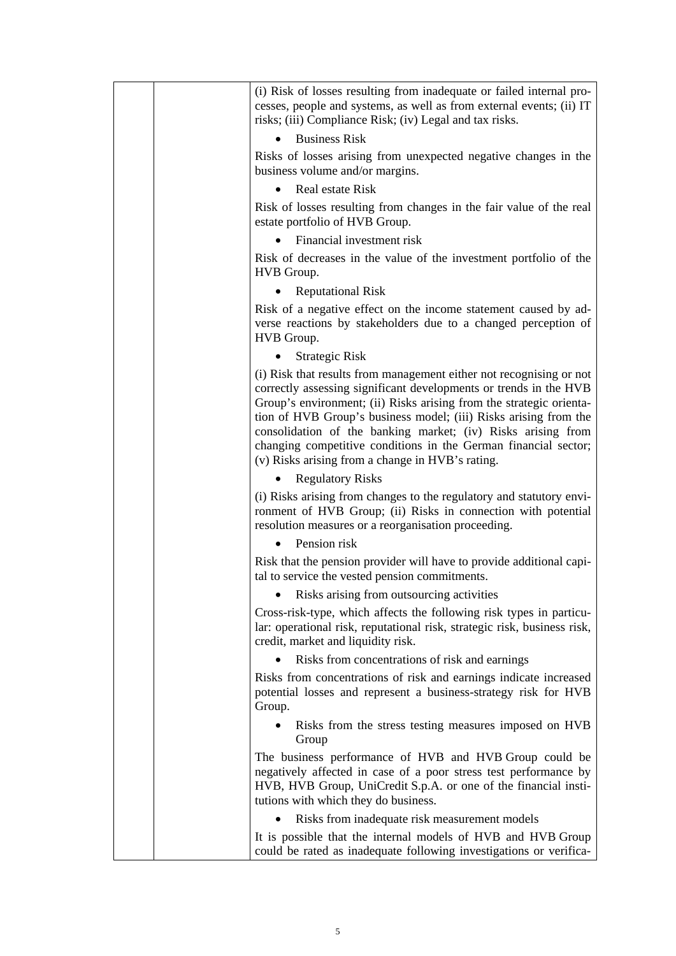|  | (i) Risk of losses resulting from inadequate or failed internal pro-<br>cesses, people and systems, as well as from external events; (ii) IT<br>risks; (iii) Compliance Risk; (iv) Legal and tax risks.                                                                                                                                                                                                                                                                    |
|--|----------------------------------------------------------------------------------------------------------------------------------------------------------------------------------------------------------------------------------------------------------------------------------------------------------------------------------------------------------------------------------------------------------------------------------------------------------------------------|
|  | <b>Business Risk</b>                                                                                                                                                                                                                                                                                                                                                                                                                                                       |
|  | Risks of losses arising from unexpected negative changes in the<br>business volume and/or margins.                                                                                                                                                                                                                                                                                                                                                                         |
|  | Real estate Risk                                                                                                                                                                                                                                                                                                                                                                                                                                                           |
|  | Risk of losses resulting from changes in the fair value of the real<br>estate portfolio of HVB Group.                                                                                                                                                                                                                                                                                                                                                                      |
|  | Financial investment risk                                                                                                                                                                                                                                                                                                                                                                                                                                                  |
|  | Risk of decreases in the value of the investment portfolio of the<br>HVB Group.                                                                                                                                                                                                                                                                                                                                                                                            |
|  | <b>Reputational Risk</b>                                                                                                                                                                                                                                                                                                                                                                                                                                                   |
|  | Risk of a negative effect on the income statement caused by ad-<br>verse reactions by stakeholders due to a changed perception of<br>HVB Group.                                                                                                                                                                                                                                                                                                                            |
|  | <b>Strategic Risk</b>                                                                                                                                                                                                                                                                                                                                                                                                                                                      |
|  | (i) Risk that results from management either not recognising or not<br>correctly assessing significant developments or trends in the HVB<br>Group's environment; (ii) Risks arising from the strategic orienta-<br>tion of HVB Group's business model; (iii) Risks arising from the<br>consolidation of the banking market; (iv) Risks arising from<br>changing competitive conditions in the German financial sector;<br>(v) Risks arising from a change in HVB's rating. |
|  | <b>Regulatory Risks</b>                                                                                                                                                                                                                                                                                                                                                                                                                                                    |
|  | (i) Risks arising from changes to the regulatory and statutory envi-<br>ronment of HVB Group; (ii) Risks in connection with potential<br>resolution measures or a reorganisation proceeding.                                                                                                                                                                                                                                                                               |
|  | Pension risk                                                                                                                                                                                                                                                                                                                                                                                                                                                               |
|  | Risk that the pension provider will have to provide additional capi-<br>tal to service the vested pension commitments.                                                                                                                                                                                                                                                                                                                                                     |
|  | Risks arising from outsourcing activities                                                                                                                                                                                                                                                                                                                                                                                                                                  |
|  | Cross-risk-type, which affects the following risk types in particu-<br>lar: operational risk, reputational risk, strategic risk, business risk,<br>credit, market and liquidity risk.                                                                                                                                                                                                                                                                                      |
|  | Risks from concentrations of risk and earnings                                                                                                                                                                                                                                                                                                                                                                                                                             |
|  | Risks from concentrations of risk and earnings indicate increased<br>potential losses and represent a business-strategy risk for HVB<br>Group.                                                                                                                                                                                                                                                                                                                             |
|  | Risks from the stress testing measures imposed on HVB<br>Group                                                                                                                                                                                                                                                                                                                                                                                                             |
|  | The business performance of HVB and HVB Group could be<br>negatively affected in case of a poor stress test performance by<br>HVB, HVB Group, UniCredit S.p.A. or one of the financial insti-<br>tutions with which they do business.                                                                                                                                                                                                                                      |
|  | Risks from inadequate risk measurement models                                                                                                                                                                                                                                                                                                                                                                                                                              |
|  | It is possible that the internal models of HVB and HVB Group<br>could be rated as inadequate following investigations or verifica-                                                                                                                                                                                                                                                                                                                                         |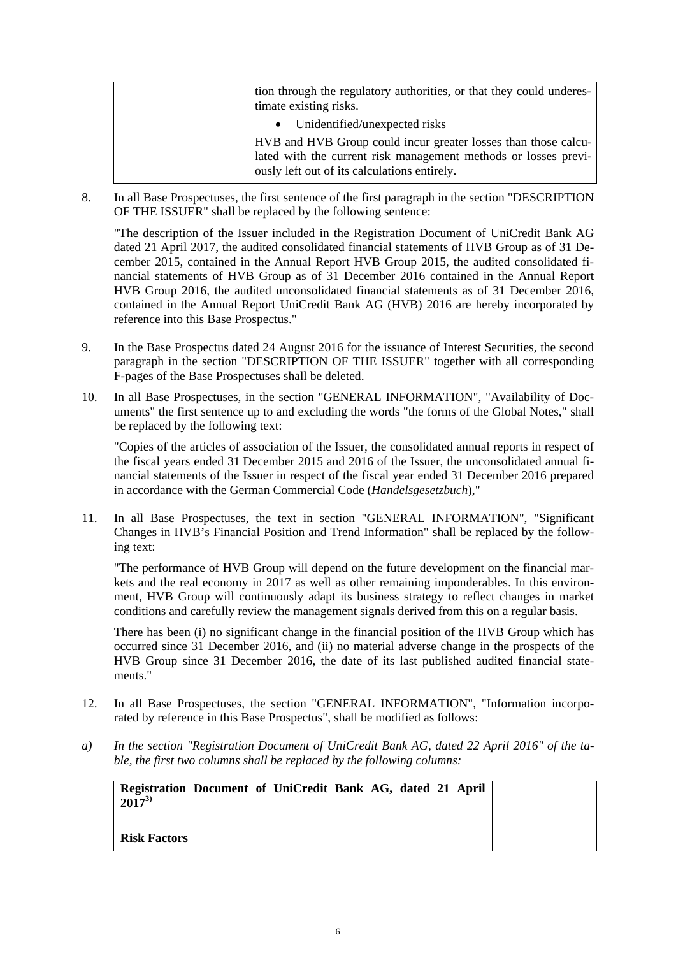|  | tion through the regulatory authorities, or that they could underes-<br>timate existing risks.                                                                                    |
|--|-----------------------------------------------------------------------------------------------------------------------------------------------------------------------------------|
|  | • Unidentified/unexpected risks                                                                                                                                                   |
|  | HVB and HVB Group could incur greater losses than those calcu-<br>lated with the current risk management methods or losses previ-<br>ously left out of its calculations entirely. |

8. In all Base Prospectuses, the first sentence of the first paragraph in the section "DESCRIPTION OF THE ISSUER" shall be replaced by the following sentence:

"The description of the Issuer included in the Registration Document of UniCredit Bank AG dated 21 April 2017, the audited consolidated financial statements of HVB Group as of 31 December 2015, contained in the Annual Report HVB Group 2015, the audited consolidated financial statements of HVB Group as of 31 December 2016 contained in the Annual Report HVB Group 2016, the audited unconsolidated financial statements as of 31 December 2016, contained in the Annual Report UniCredit Bank AG (HVB) 2016 are hereby incorporated by reference into this Base Prospectus."

- 9. In the Base Prospectus dated 24 August 2016 for the issuance of Interest Securities, the second paragraph in the section "DESCRIPTION OF THE ISSUER" together with all corresponding F-pages of the Base Prospectuses shall be deleted.
- 10. In all Base Prospectuses, in the section "GENERAL INFORMATION", "Availability of Documents" the first sentence up to and excluding the words "the forms of the Global Notes," shall be replaced by the following text:

"Copies of the articles of association of the Issuer, the consolidated annual reports in respect of the fiscal years ended 31 December 2015 and 2016 of the Issuer, the unconsolidated annual financial statements of the Issuer in respect of the fiscal year ended 31 December 2016 prepared in accordance with the German Commercial Code (*Handelsgesetzbuch*),"

11. In all Base Prospectuses, the text in section "GENERAL INFORMATION", "Significant Changes in HVB's Financial Position and Trend Information" shall be replaced by the following text:

"The performance of HVB Group will depend on the future development on the financial markets and the real economy in 2017 as well as other remaining imponderables. In this environment, HVB Group will continuously adapt its business strategy to reflect changes in market conditions and carefully review the management signals derived from this on a regular basis.

There has been (i) no significant change in the financial position of the HVB Group which has occurred since 31 December 2016, and (ii) no material adverse change in the prospects of the HVB Group since 31 December 2016, the date of its last published audited financial statements."

- 12. In all Base Prospectuses, the section "GENERAL INFORMATION", "Information incorporated by reference in this Base Prospectus", shall be modified as follows:
- *a) In the section "Registration Document of UniCredit Bank AG, dated 22 April 2016" of the table, the first two columns shall be replaced by the following columns:*

**Registration Document of UniCredit Bank AG, dated 21 April 20173)**

**Risk Factors**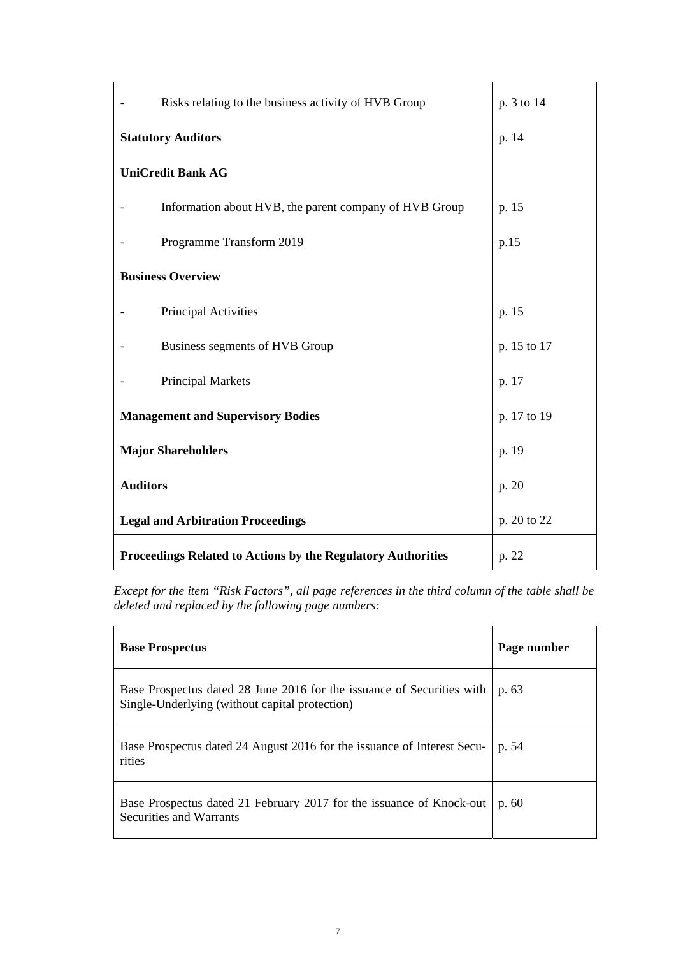| Risks relating to the business activity of HVB Group         | p. 3 to 14  |
|--------------------------------------------------------------|-------------|
| <b>Statutory Auditors</b>                                    | p. 14       |
| <b>UniCredit Bank AG</b>                                     |             |
| Information about HVB, the parent company of HVB Group       | p. 15       |
| Programme Transform 2019                                     | p.15        |
| <b>Business Overview</b>                                     |             |
| Principal Activities                                         | p. 15       |
| Business segments of HVB Group                               | p. 15 to 17 |
| <b>Principal Markets</b>                                     | p. 17       |
| <b>Management and Supervisory Bodies</b>                     | p. 17 to 19 |
| <b>Major Shareholders</b>                                    | p. 19       |
| <b>Auditors</b>                                              | p. 20       |
| <b>Legal and Arbitration Proceedings</b>                     | p. 20 to 22 |
| Proceedings Related to Actions by the Regulatory Authorities | p. 22       |

*Except for the item "Risk Factors", all page references in the third column of the table shall be deleted and replaced by the following page numbers:* 

| <b>Base Prospectus</b>                                                                                                   | Page number |
|--------------------------------------------------------------------------------------------------------------------------|-------------|
| Base Prospectus dated 28 June 2016 for the issuance of Securities with<br>Single-Underlying (without capital protection) | p. 63       |
| Base Prospectus dated 24 August 2016 for the issuance of Interest Secu-<br>rities                                        | p. 54       |
| Base Prospectus dated 21 February 2017 for the issuance of Knock-out<br><b>Securities and Warrants</b>                   | p.60        |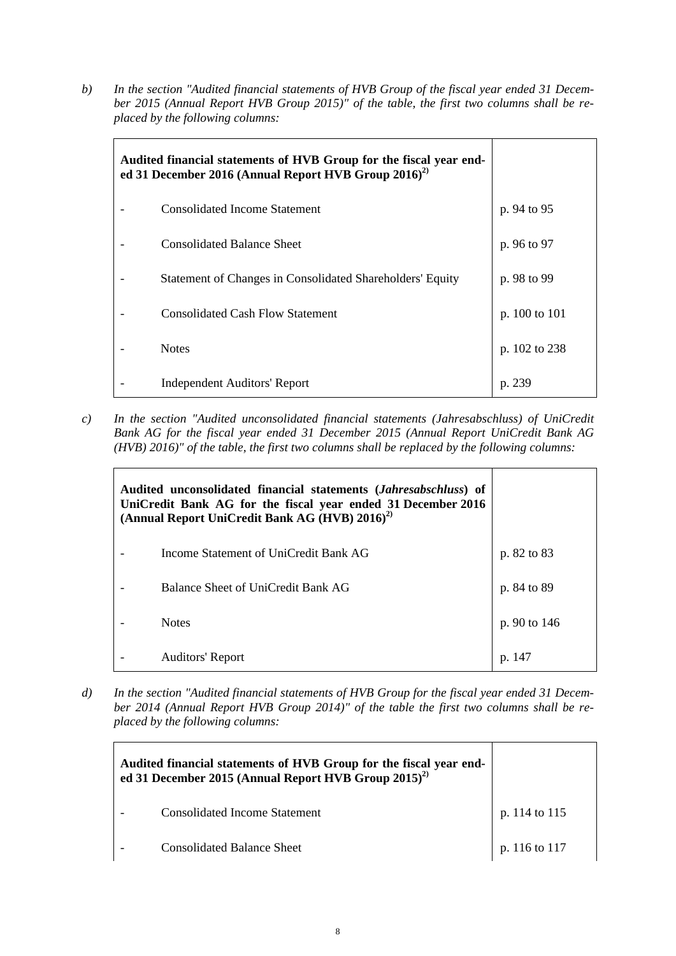*b) In the section "Audited financial statements of HVB Group of the fiscal year ended 31 December 2015 (Annual Report HVB Group 2015)" of the table, the first two columns shall be replaced by the following columns:* 

| Audited financial statements of HVB Group for the fiscal year end-<br>ed 31 December 2016 (Annual Report HVB Group 2016) <sup>2)</sup> |                                                           |               |
|----------------------------------------------------------------------------------------------------------------------------------------|-----------------------------------------------------------|---------------|
|                                                                                                                                        | <b>Consolidated Income Statement</b>                      | p. 94 to 95   |
|                                                                                                                                        | <b>Consolidated Balance Sheet</b>                         | p. 96 to 97   |
|                                                                                                                                        | Statement of Changes in Consolidated Shareholders' Equity | p. 98 to 99   |
|                                                                                                                                        | <b>Consolidated Cash Flow Statement</b>                   | p. 100 to 101 |
|                                                                                                                                        | <b>Notes</b>                                              | p. 102 to 238 |
|                                                                                                                                        | <b>Independent Auditors' Report</b>                       | p. 239        |

*c) In the section "Audited unconsolidated financial statements (Jahresabschluss) of UniCredit Bank AG for the fiscal year ended 31 December 2015 (Annual Report UniCredit Bank AG (HVB) 2016)" of the table, the first two columns shall be replaced by the following columns:* 

| Audited unconsolidated financial statements ( <i>Jahresabschluss</i> ) of<br>UniCredit Bank AG for the fiscal year ended 31 December 2016<br>(Annual Report UniCredit Bank AG (HVB) 2016) <sup>2)</sup> |                                       |              |
|---------------------------------------------------------------------------------------------------------------------------------------------------------------------------------------------------------|---------------------------------------|--------------|
|                                                                                                                                                                                                         | Income Statement of UniCredit Bank AG | p. 82 to 83  |
|                                                                                                                                                                                                         | Balance Sheet of UniCredit Bank AG    | p. 84 to 89  |
|                                                                                                                                                                                                         | <b>Notes</b>                          | p. 90 to 146 |
|                                                                                                                                                                                                         | Auditors' Report                      |              |

*d) In the section "Audited financial statements of HVB Group for the fiscal year ended 31 December 2014 (Annual Report HVB Group 2014)" of the table the first two columns shall be replaced by the following columns:* 

| Audited financial statements of HVB Group for the fiscal year end-<br>ed 31 December 2015 (Annual Report HVB Group 2015) <sup>2)</sup> |               |
|----------------------------------------------------------------------------------------------------------------------------------------|---------------|
| Consolidated Income Statement                                                                                                          | p. 114 to 115 |
| <b>Consolidated Balance Sheet</b>                                                                                                      | p. 116 to 117 |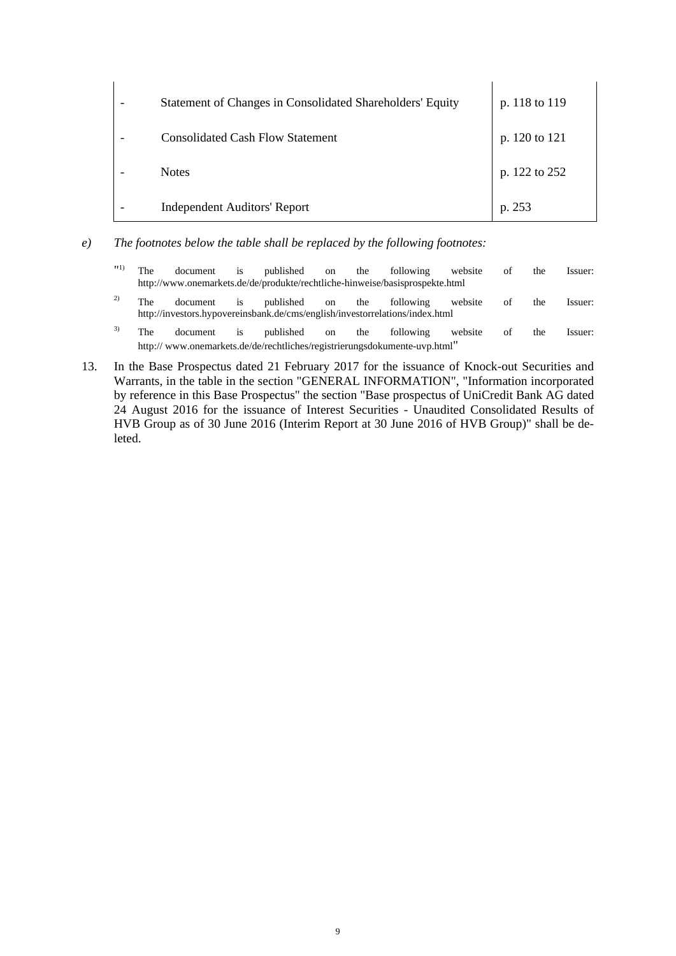| Statement of Changes in Consolidated Shareholders' Equity | p. 118 to 119 |
|-----------------------------------------------------------|---------------|
| Consolidated Cash Flow Statement                          | p. 120 to 121 |
| <b>Notes</b>                                              | p. 122 to 252 |
| <b>Independent Auditors' Report</b>                       | p. 253        |

- *e) The footnotes below the table shall be replaced by the following footnotes:* 
	- "<sup>1)</sup> The document is published on the following website of the Issuer: http://www.onemarkets.de/de/produkte/rechtliche-hinweise/basisprospekte.html <sup>2)</sup> The document is published on the following website of the Issuer: http://investors.hypovereinsbank.de/cms/english/investorrelations/index.html  $3)$  The document is published on the following website of the Issuer: http:// www.onemarkets.de/de/rechtliches/registrierungsdokumente-uvp.html"
- 13. In the Base Prospectus dated 21 February 2017 for the issuance of Knock-out Securities and Warrants, in the table in the section "GENERAL INFORMATION", "Information incorporated by reference in this Base Prospectus" the section "Base prospectus of UniCredit Bank AG dated 24 August 2016 for the issuance of Interest Securities - Unaudited Consolidated Results of HVB Group as of 30 June 2016 (Interim Report at 30 June 2016 of HVB Group)" shall be deleted.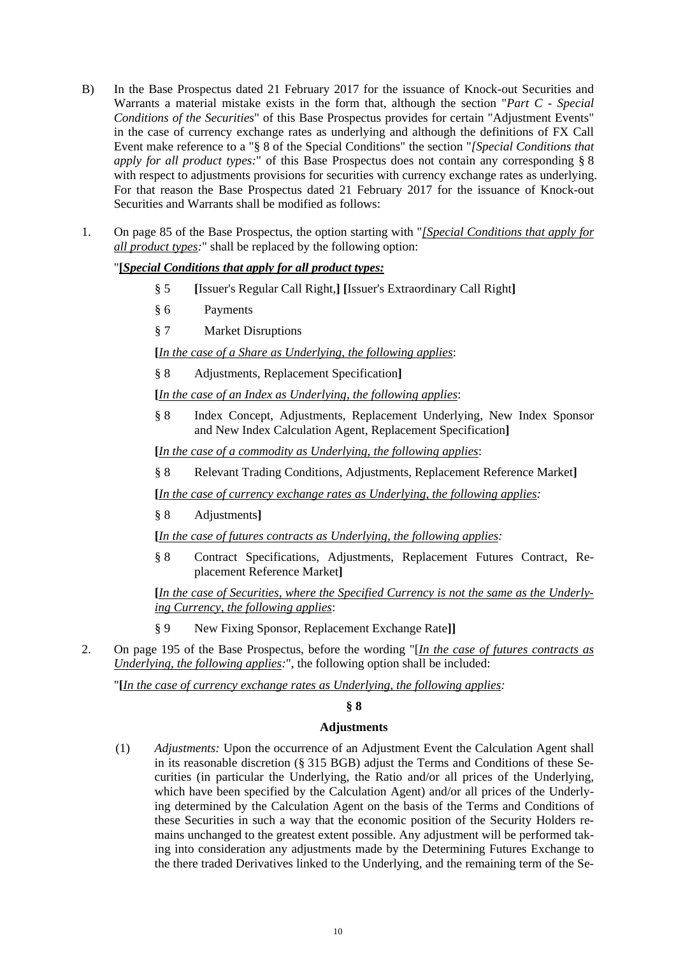- B) In the Base Prospectus dated 21 February 2017 for the issuance of Knock-out Securities and Warrants a material mistake exists in the form that, although the section "*Part C - Special Conditions of the Securities*" of this Base Prospectus provides for certain "Adjustment Events" in the case of currency exchange rates as underlying and although the definitions of FX Call Event make reference to a "§ 8 of the Special Conditions" the section "*[Special Conditions that apply for all product types:*" of this Base Prospectus does not contain any corresponding § 8 with respect to adjustments provisions for securities with currency exchange rates as underlying. For that reason the Base Prospectus dated 21 February 2017 for the issuance of Knock-out Securities and Warrants shall be modified as follows:
- 1. On page 85 of the Base Prospectus, the option starting with "*[Special Conditions that apply for all product types:*" shall be replaced by the following option:

## "**[***Special Conditions that apply for all product types:*

- § 5 **[**Issuer's Regular Call Right,**] [**Issuer's Extraordinary Call Right**]**
- § 6 Payments
- § 7 Market Disruptions

**[***In the case of a Share as Underlying, the following applies*:

§ 8 Adjustments, Replacement Specification**]**

**[***In the case of an Index as Underlying, the following applies*:

§ 8 Index Concept, Adjustments, Replacement Underlying, New Index Sponsor and New Index Calculation Agent, Replacement Specification**]**

**[***In the case of a commodity as Underlying, the following applies*:

§ 8 Relevant Trading Conditions, Adjustments, Replacement Reference Market**]**

**[***In the case of currency exchange rates as Underlying, the following applies:*

§ 8 Adjustments**]**

**[***In the case of futures contracts as Underlying, the following applies:*

§ 8 Contract Specifications, Adjustments, Replacement Futures Contract, Replacement Reference Market**]**

**[***In the case of Securities, where the Specified Currency is not the same as the Underlying Currency, the following applies*:

- § 9 New Fixing Sponsor, Replacement Exchange Rate**]]**
- 2. On page 195 of the Base Prospectus, before the wording "[*In the case of futures contracts as Underlying, the following applies:*", the following option shall be included:

"**[***In the case of currency exchange rates as Underlying, the following applies:* 

### **§ 8**

### **Adjustments**

(1) *Adjustments:* Upon the occurrence of an Adjustment Event the Calculation Agent shall in its reasonable discretion (§ 315 BGB) adjust the Terms and Conditions of these Securities (in particular the Underlying, the Ratio and/or all prices of the Underlying, which have been specified by the Calculation Agent) and/or all prices of the Underlying determined by the Calculation Agent on the basis of the Terms and Conditions of these Securities in such a way that the economic position of the Security Holders remains unchanged to the greatest extent possible. Any adjustment will be performed taking into consideration any adjustments made by the Determining Futures Exchange to the there traded Derivatives linked to the Underlying, and the remaining term of the Se-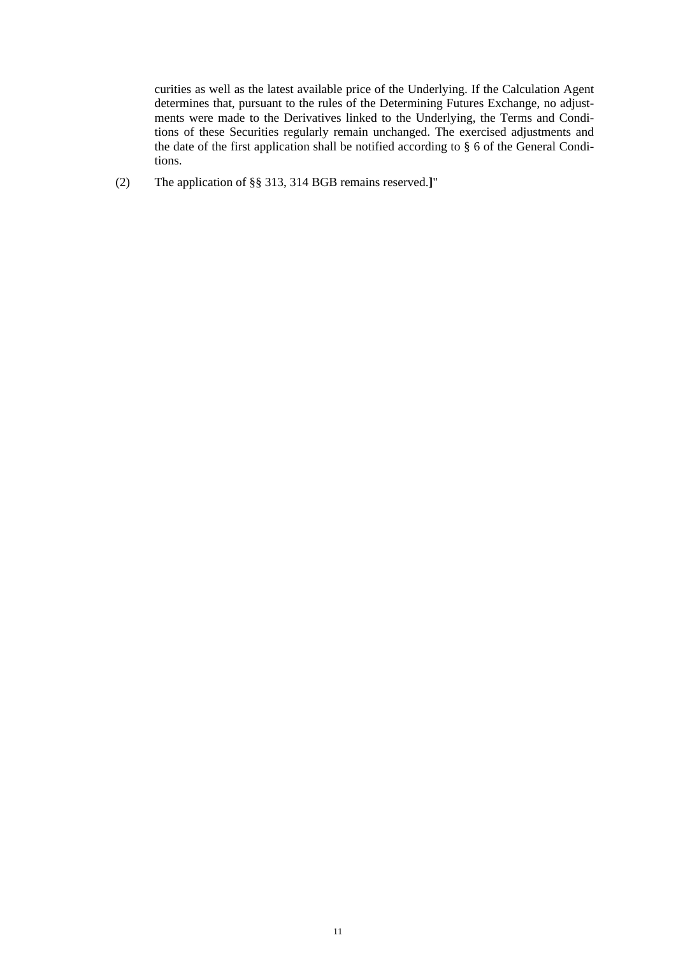curities as well as the latest available price of the Underlying. If the Calculation Agent determines that, pursuant to the rules of the Determining Futures Exchange, no adjustments were made to the Derivatives linked to the Underlying, the Terms and Conditions of these Securities regularly remain unchanged. The exercised adjustments and the date of the first application shall be notified according to § 6 of the General Conditions.

(2) The application of §§ 313, 314 BGB remains reserved.**]**"